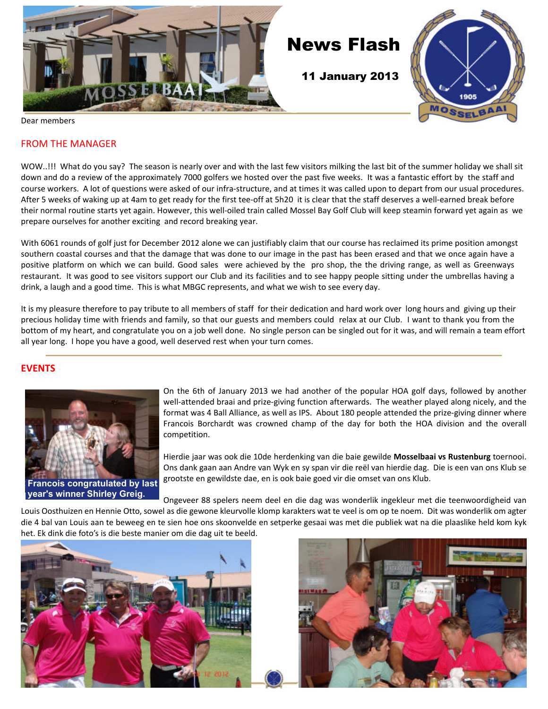

### FROM THE MANAGER

WOW..!!! What do you say? The season is nearly over and with the last few visitors milking the last bit of the summer holiday we shall sit down and do a review of the approximately 7000 golfers we hosted over the past five weeks. It was a fantastic effort by the staff and course workers. A lot of questions were asked of our infra-structure, and at times it was called upon to depart from our usual procedures. After 5 weeks of waking up at 4am to get ready for the first tee-off at 5h20 it is clear that the staff deserves a well-earned break before their normal routine starts yet again. However, this well-oiled train called Mossel Bay Golf Club will keep steamin forward yet again as we prepare ourselves for another exciting and record breaking year.

With 6061 rounds of golf just for December 2012 alone we can justifiably claim that our course has reclaimed its prime position amongst southern coastal courses and that the damage that was done to our image in the past has been erased and that we once again have a positive platform on which we can build. Good sales were achieved by the pro shop, the the driving range, as well as Greenways restaurant. It was good to see visitors support our Club and its facilities and to see happy people sitting under the umbrellas having a drink, a laugh and a good time. This is what MBGC represents, and what we wish to see every day.

It is my pleasure therefore to pay tribute to all members of staff for their dedication and hard work over long hours and giving up their precious holiday time with friends and family, so that our guests and members could relax at our Club. I want to thank you from the bottom of my heart, and congratulate you on a job well done. No single person can be singled out for it was, and will remain a team effort all year long. I hope you have a good, well deserved rest when your turn comes.

## **EVENTS**



 On the 6th of January 2013 we had another of the popular HOA golf days, followed by another well-attended braai and prize-giving function afterwards. The weather played along nicely, and the format was 4 Ball Alliance, as well as IPS. About 180 people attended the prize-giving dinner where Francois Borchardt was crowned champ of the day for both the HOA division and the overall competition.

Hierdie jaar was ook die 10de herdenking van die baie gewilde **Mosselbaai vs Rustenburg** toernooi. Ons dank gaan aan Andre van Wyk en sy span vir die reël van hierdie dag. Die is een van ons Klub se grootste en gewildste dae, en is ook baie goed vir die omset van ons Klub.

Ongeveer 88 spelers neem deel en die dag was wonderlik ingekleur met die teenwoordigheid van

Louis Oosthuizen en Hennie Otto, sowel as die gewone kleurvolle klomp karakters wat te veel is om op te noem. Dit was wonderlik om agter die 4 bal van Louis aan te beweeg en te sien hoe ons skoonvelde en setperke gesaai was met die publiek wat na die plaaslike held kom kyk het. Ek dink die foto's is die beste manier om die dag uit te beeld.



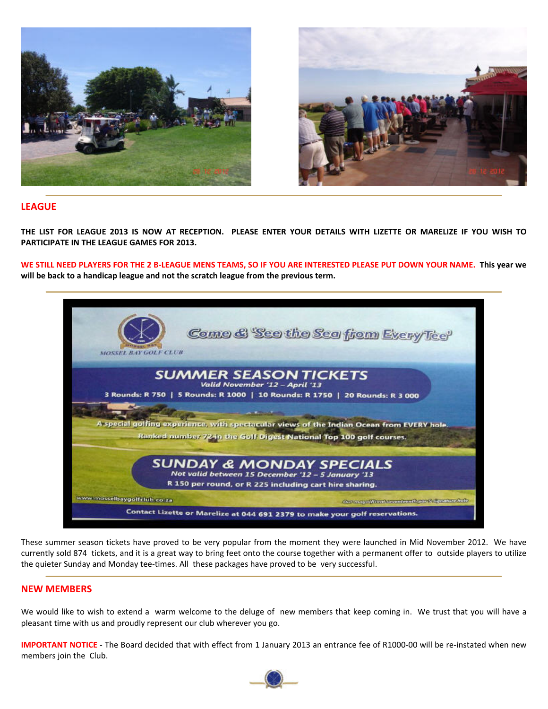



## **LEAGUE**

**THE LIST FOR LEAGUE 2013 IS NOW AT RECEPTION. PLEASE ENTER YOUR DETAILS WITH LIZETTE OR MARELIZE IF YOU WISH TO PARTICIPATE IN THE LEAGUE GAMES FOR 2013.**

**WE STILL NEED PLAYERS FOR THE 2 B-LEAGUE MENS TEAMS, SO IF YOU ARE INTERESTED PLEASE PUT DOWN YOUR NAME. This year we will be back to a handicap league and not the scratch league from the previous term.**



These summer season tickets have proved to be very popular from the moment they were launched in Mid November 2012. We have currently sold 874 tickets, and it is a great way to bring feet onto the course together with a permanent offer to outside players to utilize the quieter Sunday and Monday tee-times. All these packages have proved to be very successful.

#### **NEW MEMBERS**

We would like to wish to extend a warm welcome to the deluge of new members that keep coming in. We trust that you will have a pleasant time with us and proudly represent our club wherever you go.

**IMPORTANT NOTICE** - The Board decided that with effect from 1 January 2013 an entrance fee of R1000-00 will be re-instated when new members join the Club.

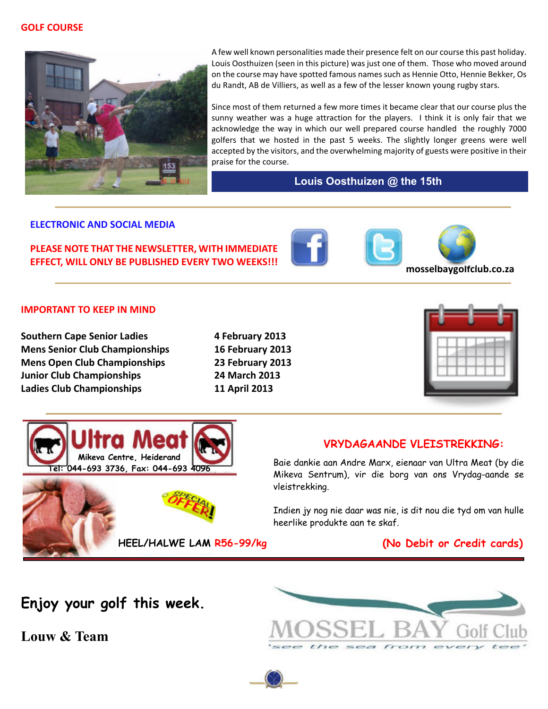### **GOLF COURSE**



 A few well known personalities made their presence felt on our course this past holiday. Louis Oosthuizen (seen in this picture) was just one of them. Those who moved around on the course may have spotted famous names such as Hennie Otto, Hennie Bekker, Os du Randt, AB de Villiers, as well as a few of the lesser known young rugby stars.

Since most of them returned a few more times it became clear that our course plus the sunny weather was a huge attraction for the players. I think it is only fair that we acknowledge the way in which our well prepared course handled the roughly 7000 golfers that we hosted in the past 5 weeks. The slightly longer greens were well accepted by the visitors, and the overwhelming majority of guests were positive in their praise for the course.

## **Louis Oosthuizen @ the 15th**

### **ELECTRONIC AND SOCIAL MEDIA**

**PLEASE NOTE THAT THE NEWSLETTER, WITH IMMEDIATE**



## **IMPORTANT TO KEEP IN MIND**

**Southern Cape Senior Ladies** 4 February 2013 **Mens Senior Club Championships 16 February 2013 Mens Open Club Championships 23 February 2013 Junior Club Championships 24 March 2013 Ladies Club Championships 11 April 2013**





Baie dankie aan Andre Marx, eienaar van Ultra Meat (by die Mikeva Sentrum), vir die borg van ons Vrydag-aande se vleistrekking.

Indien jy nog nie daar was nie, is dit nou die tyd om van hulle heerlike produkte aan te skaf.

## **HEEL/HALWE LAM R56-99/kg (No Debit or Credit cards)**

**Enjoy your golf this week.**

**Mikeva Centre, Heiderand Tel: 044-693 3736, Fax: 044-693 4096**

**Louw & Team**